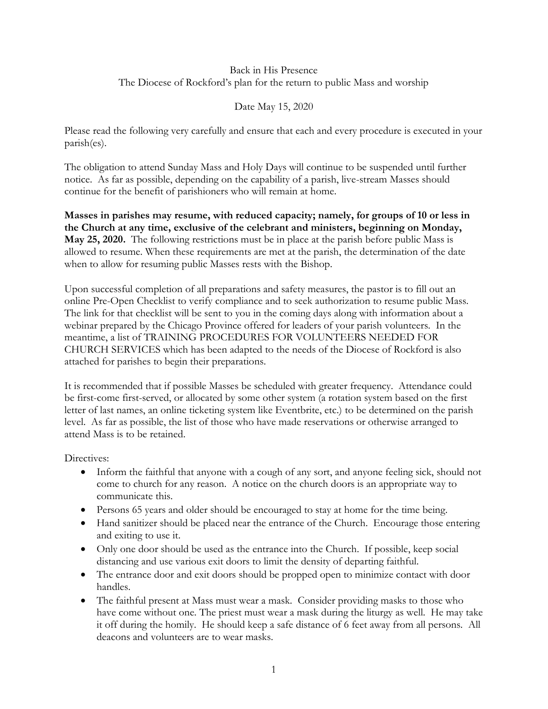## Back in His Presence The Diocese of Rockford's plan for the return to public Mass and worship

## Date May 15, 2020

Please read the following very carefully and ensure that each and every procedure is executed in your parish(es).

The obligation to attend Sunday Mass and Holy Days will continue to be suspended until further notice. As far as possible, depending on the capability of a parish, live-stream Masses should continue for the benefit of parishioners who will remain at home.

**Masses in parishes may resume, with reduced capacity; namely, for groups of 10 or less in the Church at any time, exclusive of the celebrant and ministers, beginning on Monday, May 25, 2020.** The following restrictions must be in place at the parish before public Mass is allowed to resume. When these requirements are met at the parish, the determination of the date when to allow for resuming public Masses rests with the Bishop.

Upon successful completion of all preparations and safety measures, the pastor is to fill out an online Pre-Open Checklist to verify compliance and to seek authorization to resume public Mass. The link for that checklist will be sent to you in the coming days along with information about a webinar prepared by the Chicago Province offered for leaders of your parish volunteers. In the meantime, a list of TRAINING PROCEDURES FOR VOLUNTEERS NEEDED FOR CHURCH SERVICES which has been adapted to the needs of the Diocese of Rockford is also attached for parishes to begin their preparations.

It is recommended that if possible Masses be scheduled with greater frequency. Attendance could be first-come first-served, or allocated by some other system (a rotation system based on the first letter of last names, an online ticketing system like Eventbrite, etc.) to be determined on the parish level. As far as possible, the list of those who have made reservations or otherwise arranged to attend Mass is to be retained.

Directives:

- Inform the faithful that anyone with a cough of any sort, and anyone feeling sick, should not come to church for any reason. A notice on the church doors is an appropriate way to communicate this.
- Persons 65 years and older should be encouraged to stay at home for the time being.
- Hand sanitizer should be placed near the entrance of the Church. Encourage those entering and exiting to use it.
- Only one door should be used as the entrance into the Church. If possible, keep social distancing and use various exit doors to limit the density of departing faithful.
- The entrance door and exit doors should be propped open to minimize contact with door handles.
- The faithful present at Mass must wear a mask. Consider providing masks to those who have come without one. The priest must wear a mask during the liturgy as well. He may take it off during the homily. He should keep a safe distance of 6 feet away from all persons. All deacons and volunteers are to wear masks.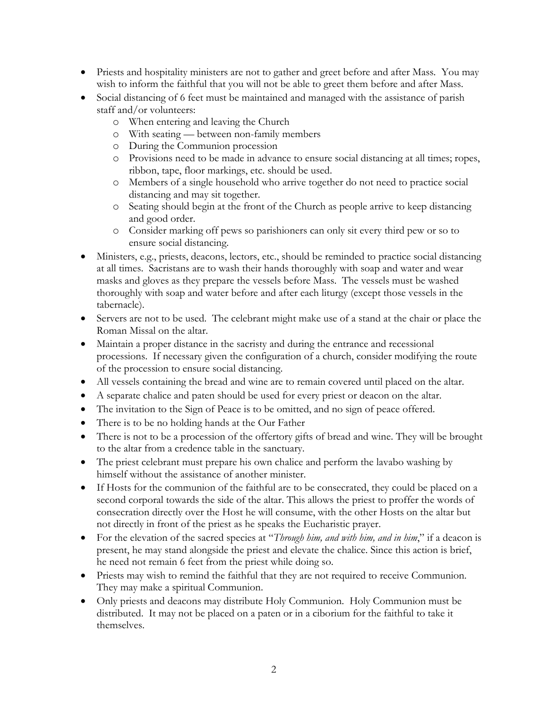- Priests and hospitality ministers are not to gather and greet before and after Mass. You may wish to inform the faithful that you will not be able to greet them before and after Mass.
- Social distancing of 6 feet must be maintained and managed with the assistance of parish staff and/or volunteers:
	- o When entering and leaving the Church
	- o With seating between non-family members
	- o During the Communion procession
	- o Provisions need to be made in advance to ensure social distancing at all times; ropes, ribbon, tape, floor markings, etc. should be used.
	- o Members of a single household who arrive together do not need to practice social distancing and may sit together.
	- o Seating should begin at the front of the Church as people arrive to keep distancing and good order.
	- o Consider marking off pews so parishioners can only sit every third pew or so to ensure social distancing.
- Ministers, e.g., priests, deacons, lectors, etc., should be reminded to practice social distancing at all times. Sacristans are to wash their hands thoroughly with soap and water and wear masks and gloves as they prepare the vessels before Mass. The vessels must be washed thoroughly with soap and water before and after each liturgy (except those vessels in the tabernacle).
- Servers are not to be used. The celebrant might make use of a stand at the chair or place the Roman Missal on the altar.
- Maintain a proper distance in the sacristy and during the entrance and recessional processions. If necessary given the configuration of a church, consider modifying the route of the procession to ensure social distancing.
- All vessels containing the bread and wine are to remain covered until placed on the altar.
- A separate chalice and paten should be used for every priest or deacon on the altar.
- The invitation to the Sign of Peace is to be omitted, and no sign of peace offered.
- There is to be no holding hands at the Our Father
- There is not to be a procession of the offertory gifts of bread and wine. They will be brought to the altar from a credence table in the sanctuary.
- The priest celebrant must prepare his own chalice and perform the lavabo washing by himself without the assistance of another minister.
- If Hosts for the communion of the faithful are to be consecrated, they could be placed on a second corporal towards the side of the altar. This allows the priest to proffer the words of consecration directly over the Host he will consume, with the other Hosts on the altar but not directly in front of the priest as he speaks the Eucharistic prayer.
- For the elevation of the sacred species at "*Through him, and with him, and in him*," if a deacon is present, he may stand alongside the priest and elevate the chalice. Since this action is brief, he need not remain 6 feet from the priest while doing so.
- Priests may wish to remind the faithful that they are not required to receive Communion. They may make a spiritual Communion.
- Only priests and deacons may distribute Holy Communion. Holy Communion must be distributed. It may not be placed on a paten or in a ciborium for the faithful to take it themselves.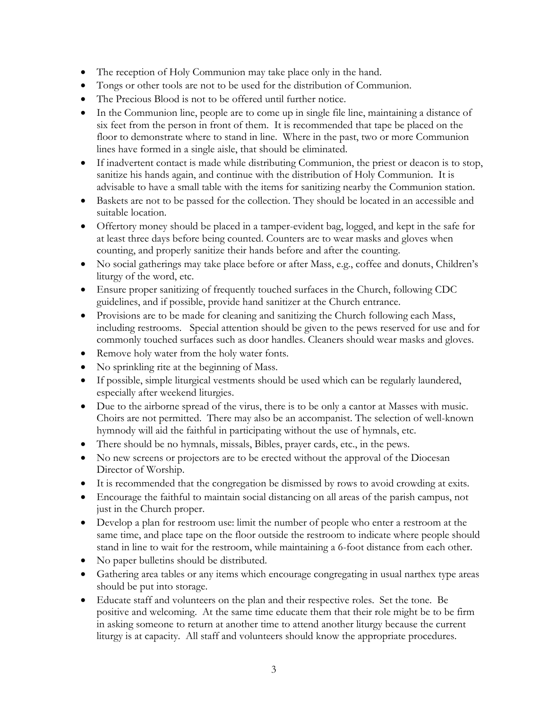- The reception of Holy Communion may take place only in the hand.
- Tongs or other tools are not to be used for the distribution of Communion.
- The Precious Blood is not to be offered until further notice.
- In the Communion line, people are to come up in single file line, maintaining a distance of six feet from the person in front of them. It is recommended that tape be placed on the floor to demonstrate where to stand in line. Where in the past, two or more Communion lines have formed in a single aisle, that should be eliminated.
- If inadvertent contact is made while distributing Communion, the priest or deacon is to stop, sanitize his hands again, and continue with the distribution of Holy Communion. It is advisable to have a small table with the items for sanitizing nearby the Communion station.
- Baskets are not to be passed for the collection. They should be located in an accessible and suitable location.
- Offertory money should be placed in a tamper-evident bag, logged, and kept in the safe for at least three days before being counted. Counters are to wear masks and gloves when counting, and properly sanitize their hands before and after the counting.
- No social gatherings may take place before or after Mass, e.g., coffee and donuts, Children's liturgy of the word, etc.
- Ensure proper sanitizing of frequently touched surfaces in the Church, following CDC guidelines, and if possible, provide hand sanitizer at the Church entrance.
- Provisions are to be made for cleaning and sanitizing the Church following each Mass, including restrooms. Special attention should be given to the pews reserved for use and for commonly touched surfaces such as door handles. Cleaners should wear masks and gloves.
- Remove holy water from the holy water fonts.
- No sprinkling rite at the beginning of Mass.
- If possible, simple liturgical vestments should be used which can be regularly laundered, especially after weekend liturgies.
- Due to the airborne spread of the virus, there is to be only a cantor at Masses with music. Choirs are not permitted. There may also be an accompanist. The selection of well-known hymnody will aid the faithful in participating without the use of hymnals, etc.
- There should be no hymnals, missals, Bibles, prayer cards, etc., in the pews.
- No new screens or projectors are to be erected without the approval of the Diocesan Director of Worship.
- It is recommended that the congregation be dismissed by rows to avoid crowding at exits.
- Encourage the faithful to maintain social distancing on all areas of the parish campus, not just in the Church proper.
- Develop a plan for restroom use: limit the number of people who enter a restroom at the same time, and place tape on the floor outside the restroom to indicate where people should stand in line to wait for the restroom, while maintaining a 6-foot distance from each other.
- No paper bulletins should be distributed.
- Gathering area tables or any items which encourage congregating in usual narthex type areas should be put into storage.
- Educate staff and volunteers on the plan and their respective roles. Set the tone. Be positive and welcoming. At the same time educate them that their role might be to be firm in asking someone to return at another time to attend another liturgy because the current liturgy is at capacity. All staff and volunteers should know the appropriate procedures.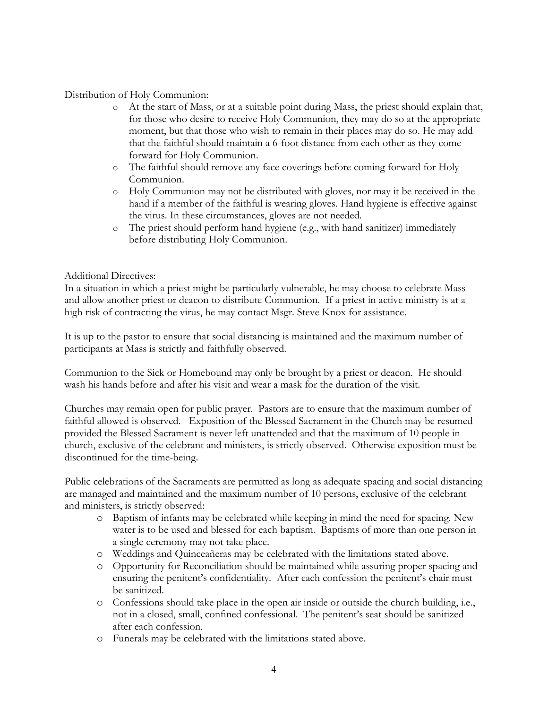## Distribution of Holy Communion:

- o At the start of Mass, or at a suitable point during Mass, the priest should explain that, for those who desire to receive Holy Communion, they may do so at the appropriate moment, but that those who wish to remain in their places may do so. He may add that the faithful should maintain a 6-foot distance from each other as they come forward for Holy Communion.
- o The faithful should remove any face coverings before coming forward for Holy Communion.
- o Holy Communion may not be distributed with gloves, nor may it be received in the hand if a member of the faithful is wearing gloves. Hand hygiene is effective against the virus. In these circumstances, gloves are not needed.
- o The priest should perform hand hygiene (e.g., with hand sanitizer) immediately before distributing Holy Communion.

## Additional Directives:

In a situation in which a priest might be particularly vulnerable, he may choose to celebrate Mass and allow another priest or deacon to distribute Communion. If a priest in active ministry is at a high risk of contracting the virus, he may contact Msgr. Steve Knox for assistance.

It is up to the pastor to ensure that social distancing is maintained and the maximum number of participants at Mass is strictly and faithfully observed.

Communion to the Sick or Homebound may only be brought by a priest or deacon. He should wash his hands before and after his visit and wear a mask for the duration of the visit.

Churches may remain open for public prayer. Pastors are to ensure that the maximum number of faithful allowed is observed. Exposition of the Blessed Sacrament in the Church may be resumed provided the Blessed Sacrament is never left unattended and that the maximum of 10 people in church, exclusive of the celebrant and ministers, is strictly observed. Otherwise exposition must be discontinued for the time-being.

Public celebrations of the Sacraments are permitted as long as adequate spacing and social distancing are managed and maintained and the maximum number of 10 persons, exclusive of the celebrant and ministers, is strictly observed:

- o Baptism of infants may be celebrated while keeping in mind the need for spacing. New water is to be used and blessed for each baptism. Baptisms of more than one person in a single ceremony may not take place.
- o Weddings and Quinceañeras may be celebrated with the limitations stated above.
- o Opportunity for Reconciliation should be maintained while assuring proper spacing and ensuring the penitent's confidentiality. After each confession the penitent's chair must be sanitized.
- o Confessions should take place in the open air inside or outside the church building, i.e., not in a closed, small, confined confessional. The penitent's seat should be sanitized after each confession.
- o Funerals may be celebrated with the limitations stated above.